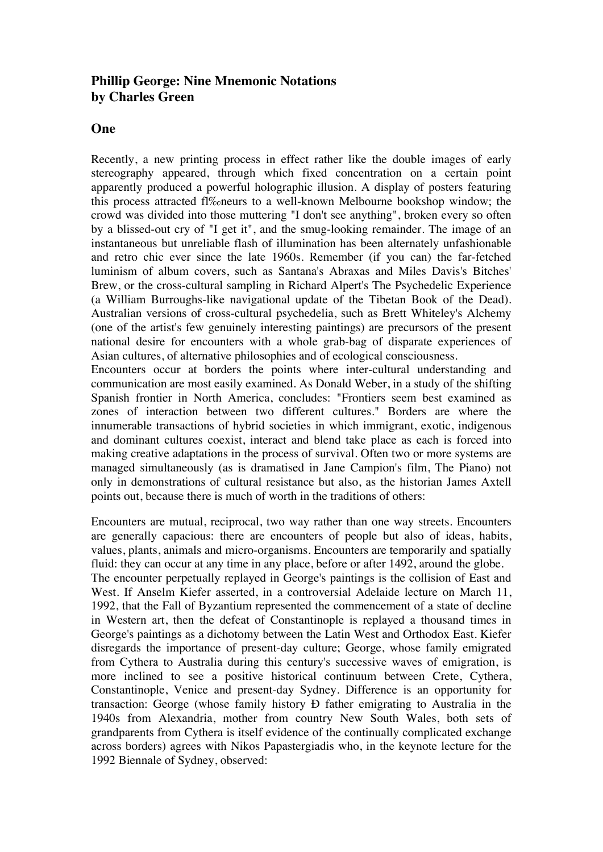## **Phillip George: Nine Mnemonic Notations by Charles Green**

#### **One**

Recently, a new printing process in effect rather like the double images of early stereography appeared, through which fixed concentration on a certain point apparently produced a powerful holographic illusion. A display of posters featuring this process attracted fl‰neurs to a well-known Melbourne bookshop window; the crowd was divided into those muttering "I don't see anything", broken every so often by a blissed-out cry of "I get it", and the smug-looking remainder. The image of an instantaneous but unreliable flash of illumination has been alternately unfashionable and retro chic ever since the late 1960s. Remember (if you can) the far-fetched luminism of album covers, such as Santana's Abraxas and Miles Davis's Bitches' Brew, or the cross-cultural sampling in Richard Alpert's The Psychedelic Experience (a William Burroughs-like navigational update of the Tibetan Book of the Dead). Australian versions of cross-cultural psychedelia, such as Brett Whiteley's Alchemy (one of the artist's few genuinely interesting paintings) are precursors of the present national desire for encounters with a whole grab-bag of disparate experiences of Asian cultures, of alternative philosophies and of ecological consciousness.

Encounters occur at borders the points where inter-cultural understanding and communication are most easily examined. As Donald Weber, in a study of the shifting Spanish frontier in North America, concludes: "Frontiers seem best examined as zones of interaction between two different cultures." Borders are where the innumerable transactions of hybrid societies in which immigrant, exotic, indigenous and dominant cultures coexist, interact and blend take place as each is forced into making creative adaptations in the process of survival. Often two or more systems are managed simultaneously (as is dramatised in Jane Campion's film, The Piano) not only in demonstrations of cultural resistance but also, as the historian James Axtell points out, because there is much of worth in the traditions of others:

Encounters are mutual, reciprocal, two way rather than one way streets. Encounters are generally capacious: there are encounters of people but also of ideas, habits, values, plants, animals and micro-organisms. Encounters are temporarily and spatially fluid: they can occur at any time in any place, before or after 1492, around the globe. The encounter perpetually replayed in George's paintings is the collision of East and West. If Anselm Kiefer asserted, in a controversial Adelaide lecture on March 11, 1992, that the Fall of Byzantium represented the commencement of a state of decline in Western art, then the defeat of Constantinople is replayed a thousand times in George's paintings as a dichotomy between the Latin West and Orthodox East. Kiefer disregards the importance of present-day culture; George, whose family emigrated from Cythera to Australia during this century's successive waves of emigration, is more inclined to see a positive historical continuum between Crete, Cythera, Constantinople, Venice and present-day Sydney. Difference is an opportunity for transaction: George (whose family history Ð father emigrating to Australia in the 1940s from Alexandria, mother from country New South Wales, both sets of grandparents from Cythera is itself evidence of the continually complicated exchange across borders) agrees with Nikos Papastergiadis who, in the keynote lecture for the 1992 Biennale of Sydney, observed: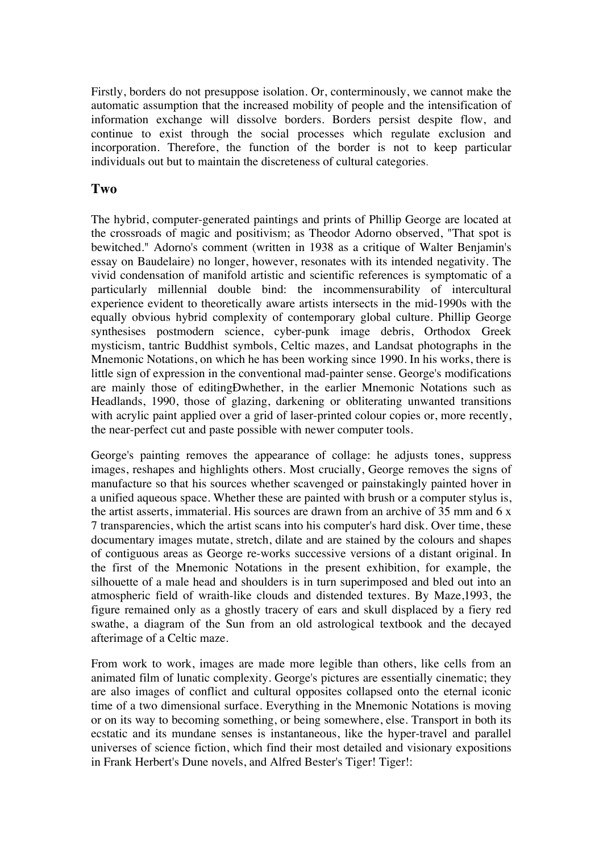Firstly, borders do not presuppose isolation. Or, conterminously, we cannot make the automatic assumption that the increased mobility of people and the intensification of information exchange will dissolve borders. Borders persist despite flow, and continue to exist through the social processes which regulate exclusion and incorporation. Therefore, the function of the border is not to keep particular individuals out but to maintain the discreteness of cultural categories.

### **Two**

The hybrid, computer-generated paintings and prints of Phillip George are located at the crossroads of magic and positivism; as Theodor Adorno observed, "That spot is bewitched." Adorno's comment (written in 1938 as a critique of Walter Benjamin's essay on Baudelaire) no longer, however, resonates with its intended negativity. The vivid condensation of manifold artistic and scientific references is symptomatic of a particularly millennial double bind: the incommensurability of intercultural experience evident to theoretically aware artists intersects in the mid-1990s with the equally obvious hybrid complexity of contemporary global culture. Phillip George synthesises postmodern science, cyber-punk image debris, Orthodox Greek mysticism, tantric Buddhist symbols, Celtic mazes, and Landsat photographs in the Mnemonic Notations, on which he has been working since 1990. In his works, there is little sign of expression in the conventional mad-painter sense. George's modifications are mainly those of editingÐwhether, in the earlier Mnemonic Notations such as Headlands, 1990, those of glazing, darkening or obliterating unwanted transitions with acrylic paint applied over a grid of laser-printed colour copies or, more recently, the near-perfect cut and paste possible with newer computer tools.

George's painting removes the appearance of collage: he adjusts tones, suppress images, reshapes and highlights others. Most crucially, George removes the signs of manufacture so that his sources whether scavenged or painstakingly painted hover in a unified aqueous space. Whether these are painted with brush or a computer stylus is, the artist asserts, immaterial. His sources are drawn from an archive of 35 mm and 6 x 7 transparencies, which the artist scans into his computer's hard disk. Over time, these documentary images mutate, stretch, dilate and are stained by the colours and shapes of contiguous areas as George re-works successive versions of a distant original. In the first of the Mnemonic Notations in the present exhibition, for example, the silhouette of a male head and shoulders is in turn superimposed and bled out into an atmospheric field of wraith-like clouds and distended textures. By Maze,1993, the figure remained only as a ghostly tracery of ears and skull displaced by a fiery red swathe, a diagram of the Sun from an old astrological textbook and the decayed afterimage of a Celtic maze.

From work to work, images are made more legible than others, like cells from an animated film of lunatic complexity. George's pictures are essentially cinematic; they are also images of conflict and cultural opposites collapsed onto the eternal iconic time of a two dimensional surface. Everything in the Mnemonic Notations is moving or on its way to becoming something, or being somewhere, else. Transport in both its ecstatic and its mundane senses is instantaneous, like the hyper-travel and parallel universes of science fiction, which find their most detailed and visionary expositions in Frank Herbert's Dune novels, and Alfred Bester's Tiger! Tiger!: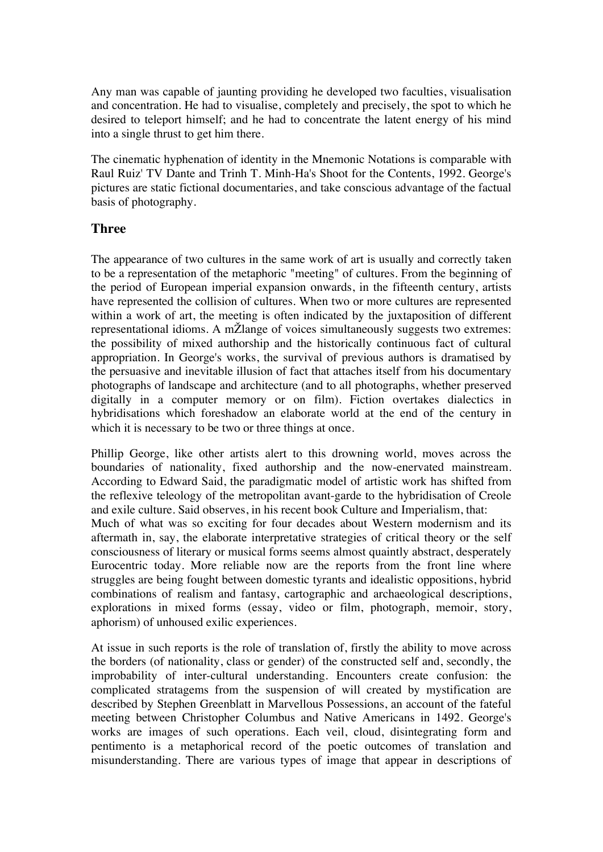Any man was capable of jaunting providing he developed two faculties, visualisation and concentration. He had to visualise, completely and precisely, the spot to which he desired to teleport himself; and he had to concentrate the latent energy of his mind into a single thrust to get him there.

The cinematic hyphenation of identity in the Mnemonic Notations is comparable with Raul Ruiz' TV Dante and Trinh T. Minh-Ha's Shoot for the Contents, 1992. George's pictures are static fictional documentaries, and take conscious advantage of the factual basis of photography.

#### **Three**

The appearance of two cultures in the same work of art is usually and correctly taken to be a representation of the metaphoric "meeting" of cultures. From the beginning of the period of European imperial expansion onwards, in the fifteenth century, artists have represented the collision of cultures. When two or more cultures are represented within a work of art, the meeting is often indicated by the juxtaposition of different representational idioms. A mŽlange of voices simultaneously suggests two extremes: the possibility of mixed authorship and the historically continuous fact of cultural appropriation. In George's works, the survival of previous authors is dramatised by the persuasive and inevitable illusion of fact that attaches itself from his documentary photographs of landscape and architecture (and to all photographs, whether preserved digitally in a computer memory or on film). Fiction overtakes dialectics in hybridisations which foreshadow an elaborate world at the end of the century in which it is necessary to be two or three things at once.

Phillip George, like other artists alert to this drowning world, moves across the boundaries of nationality, fixed authorship and the now-enervated mainstream. According to Edward Said, the paradigmatic model of artistic work has shifted from the reflexive teleology of the metropolitan avant-garde to the hybridisation of Creole and exile culture. Said observes, in his recent book Culture and Imperialism, that:

Much of what was so exciting for four decades about Western modernism and its aftermath in, say, the elaborate interpretative strategies of critical theory or the self consciousness of literary or musical forms seems almost quaintly abstract, desperately Eurocentric today. More reliable now are the reports from the front line where struggles are being fought between domestic tyrants and idealistic oppositions, hybrid combinations of realism and fantasy, cartographic and archaeological descriptions, explorations in mixed forms (essay, video or film, photograph, memoir, story, aphorism) of unhoused exilic experiences.

At issue in such reports is the role of translation of, firstly the ability to move across the borders (of nationality, class or gender) of the constructed self and, secondly, the improbability of inter-cultural understanding. Encounters create confusion: the complicated stratagems from the suspension of will created by mystification are described by Stephen Greenblatt in Marvellous Possessions, an account of the fateful meeting between Christopher Columbus and Native Americans in 1492. George's works are images of such operations. Each veil, cloud, disintegrating form and pentimento is a metaphorical record of the poetic outcomes of translation and misunderstanding. There are various types of image that appear in descriptions of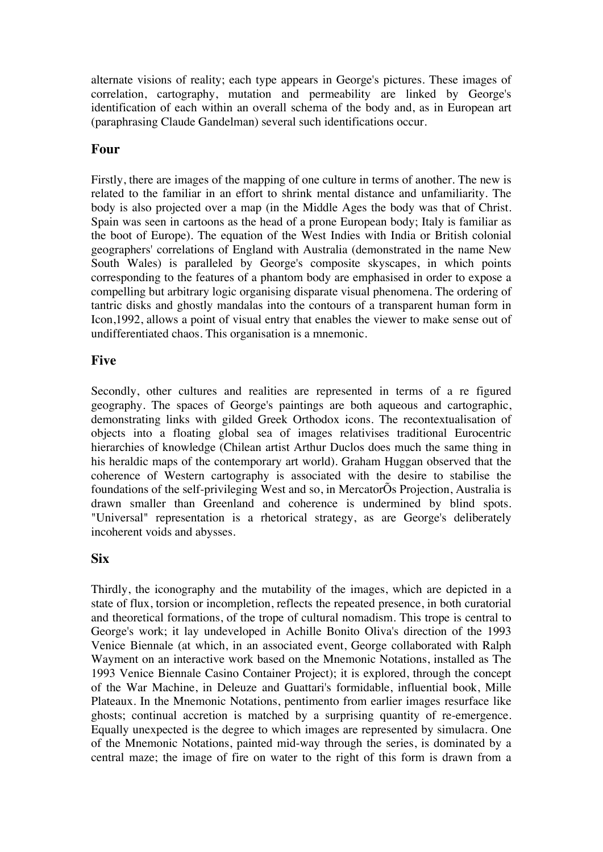alternate visions of reality; each type appears in George's pictures. These images of correlation, cartography, mutation and permeability are linked by George's identification of each within an overall schema of the body and, as in European art (paraphrasing Claude Gandelman) several such identifications occur.

#### **Four**

Firstly, there are images of the mapping of one culture in terms of another. The new is related to the familiar in an effort to shrink mental distance and unfamiliarity. The body is also projected over a map (in the Middle Ages the body was that of Christ. Spain was seen in cartoons as the head of a prone European body; Italy is familiar as the boot of Europe). The equation of the West Indies with India or British colonial geographers' correlations of England with Australia (demonstrated in the name New South Wales) is paralleled by George's composite skyscapes, in which points corresponding to the features of a phantom body are emphasised in order to expose a compelling but arbitrary logic organising disparate visual phenomena. The ordering of tantric disks and ghostly mandalas into the contours of a transparent human form in Icon,1992, allows a point of visual entry that enables the viewer to make sense out of undifferentiated chaos. This organisation is a mnemonic.

#### **Five**

Secondly, other cultures and realities are represented in terms of a re figured geography. The spaces of George's paintings are both aqueous and cartographic, demonstrating links with gilded Greek Orthodox icons. The recontextualisation of objects into a floating global sea of images relativises traditional Eurocentric hierarchies of knowledge (Chilean artist Arthur Duclos does much the same thing in his heraldic maps of the contemporary art world). Graham Huggan observed that the coherence of Western cartography is associated with the desire to stabilise the foundations of the self-privileging West and so, in MercatorÕs Projection, Australia is drawn smaller than Greenland and coherence is undermined by blind spots. "Universal" representation is a rhetorical strategy, as are George's deliberately incoherent voids and abysses.

#### **Six**

Thirdly, the iconography and the mutability of the images, which are depicted in a state of flux, torsion or incompletion, reflects the repeated presence, in both curatorial and theoretical formations, of the trope of cultural nomadism. This trope is central to George's work; it lay undeveloped in Achille Bonito Oliva's direction of the 1993 Venice Biennale (at which, in an associated event, George collaborated with Ralph Wayment on an interactive work based on the Mnemonic Notations, installed as The 1993 Venice Biennale Casino Container Project); it is explored, through the concept of the War Machine, in Deleuze and Guattari's formidable, influential book, Mille Plateaux. In the Mnemonic Notations, pentimento from earlier images resurface like ghosts; continual accretion is matched by a surprising quantity of re-emergence. Equally unexpected is the degree to which images are represented by simulacra. One of the Mnemonic Notations, painted mid-way through the series, is dominated by a central maze; the image of fire on water to the right of this form is drawn from a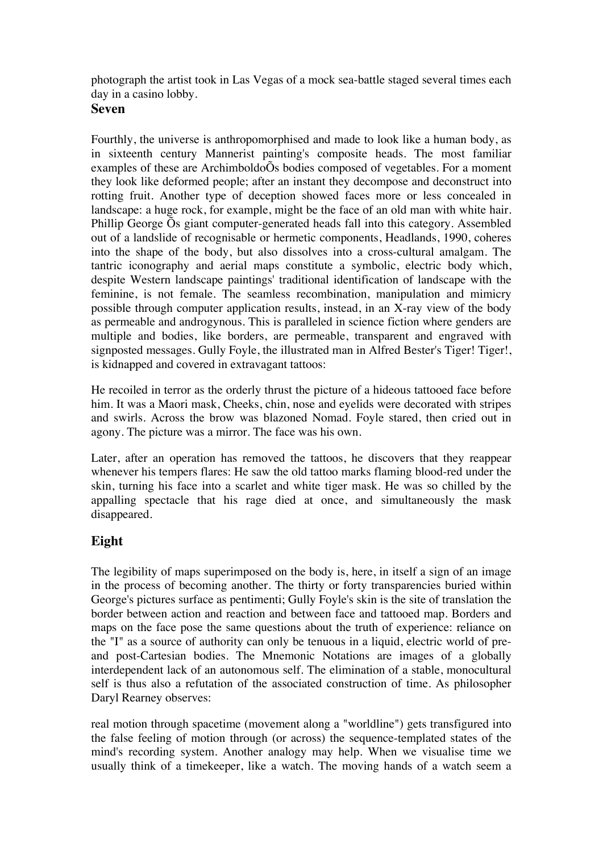photograph the artist took in Las Vegas of a mock sea-battle staged several times each day in a casino lobby.

### **Seven**

Fourthly, the universe is anthropomorphised and made to look like a human body, as in sixteenth century Mannerist painting's composite heads. The most familiar examples of these are ArchimboldoÕs bodies composed of vegetables. For a moment they look like deformed people; after an instant they decompose and deconstruct into rotting fruit. Another type of deception showed faces more or less concealed in landscape: a huge rock, for example, might be the face of an old man with white hair. Phillip George Õs giant computer-generated heads fall into this category. Assembled out of a landslide of recognisable or hermetic components, Headlands, 1990, coheres into the shape of the body, but also dissolves into a cross-cultural amalgam. The tantric iconography and aerial maps constitute a symbolic, electric body which, despite Western landscape paintings' traditional identification of landscape with the feminine, is not female. The seamless recombination, manipulation and mimicry possible through computer application results, instead, in an X-ray view of the body as permeable and androgynous. This is paralleled in science fiction where genders are multiple and bodies, like borders, are permeable, transparent and engraved with signposted messages. Gully Foyle, the illustrated man in Alfred Bester's Tiger! Tiger!, is kidnapped and covered in extravagant tattoos:

He recoiled in terror as the orderly thrust the picture of a hideous tattooed face before him. It was a Maori mask, Cheeks, chin, nose and eyelids were decorated with stripes and swirls. Across the brow was blazoned Nomad. Foyle stared, then cried out in agony. The picture was a mirror. The face was his own.

Later, after an operation has removed the tattoos, he discovers that they reappear whenever his tempers flares: He saw the old tattoo marks flaming blood-red under the skin, turning his face into a scarlet and white tiger mask. He was so chilled by the appalling spectacle that his rage died at once, and simultaneously the mask disappeared.

# **Eight**

The legibility of maps superimposed on the body is, here, in itself a sign of an image in the process of becoming another. The thirty or forty transparencies buried within George's pictures surface as pentimenti; Gully Foyle's skin is the site of translation the border between action and reaction and between face and tattooed map. Borders and maps on the face pose the same questions about the truth of experience: reliance on the "I" as a source of authority can only be tenuous in a liquid, electric world of preand post-Cartesian bodies. The Mnemonic Notations are images of a globally interdependent lack of an autonomous self. The elimination of a stable, monocultural self is thus also a refutation of the associated construction of time. As philosopher Daryl Rearney observes:

real motion through spacetime (movement along a "worldline") gets transfigured into the false feeling of motion through (or across) the sequence-templated states of the mind's recording system. Another analogy may help. When we visualise time we usually think of a timekeeper, like a watch. The moving hands of a watch seem a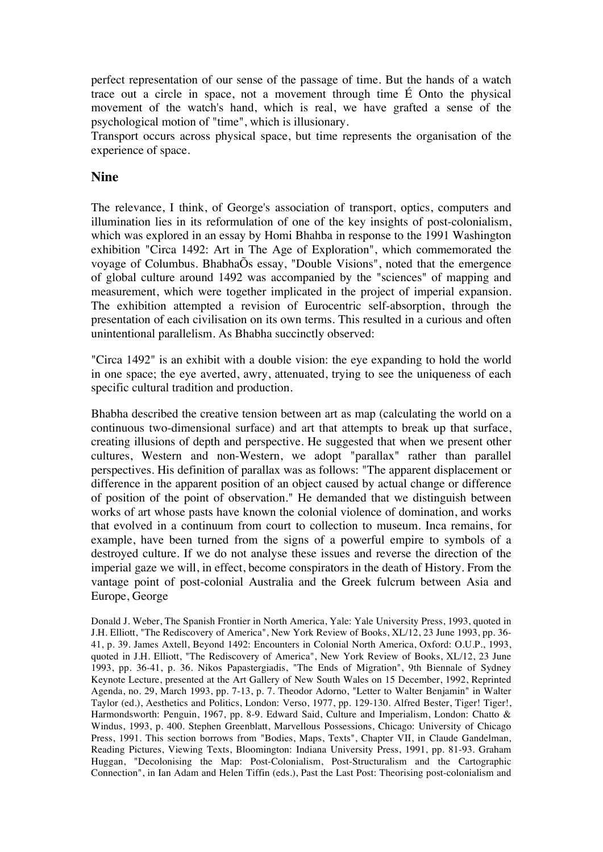perfect representation of our sense of the passage of time. But the hands of a watch trace out a circle in space, not a movement through time É Onto the physical movement of the watch's hand, which is real, we have grafted a sense of the psychological motion of "time", which is illusionary.

Transport occurs across physical space, but time represents the organisation of the experience of space.

#### **Nine**

The relevance, I think, of George's association of transport, optics, computers and illumination lies in its reformulation of one of the key insights of post-colonialism, which was explored in an essay by Homi Bhahba in response to the 1991 Washington exhibition "Circa 1492: Art in The Age of Exploration", which commemorated the voyage of Columbus. BhabhaÕs essay, "Double Visions", noted that the emergence of global culture around 1492 was accompanied by the "sciences" of mapping and measurement, which were together implicated in the project of imperial expansion. The exhibition attempted a revision of Eurocentric self-absorption, through the presentation of each civilisation on its own terms. This resulted in a curious and often unintentional parallelism. As Bhabha succinctly observed:

"Circa 1492" is an exhibit with a double vision: the eye expanding to hold the world in one space; the eye averted, awry, attenuated, trying to see the uniqueness of each specific cultural tradition and production.

Bhabha described the creative tension between art as map (calculating the world on a continuous two-dimensional surface) and art that attempts to break up that surface, creating illusions of depth and perspective. He suggested that when we present other cultures, Western and non-Western, we adopt "parallax" rather than parallel perspectives. His definition of parallax was as follows: "The apparent displacement or difference in the apparent position of an object caused by actual change or difference of position of the point of observation." He demanded that we distinguish between works of art whose pasts have known the colonial violence of domination, and works that evolved in a continuum from court to collection to museum. Inca remains, for example, have been turned from the signs of a powerful empire to symbols of a destroyed culture. If we do not analyse these issues and reverse the direction of the imperial gaze we will, in effect, become conspirators in the death of History. From the vantage point of post-colonial Australia and the Greek fulcrum between Asia and Europe, George

Donald J. Weber, The Spanish Frontier in North America, Yale: Yale University Press, 1993, quoted in J.H. Elliott, "The Rediscovery of America", New York Review of Books, XL/12, 23 June 1993, pp. 36- 41, p. 39. James Axtell, Beyond 1492: Encounters in Colonial North America, Oxford: O.U.P., 1993, quoted in J.H. Elliott, "The Rediscovery of America", New York Review of Books, XL/12, 23 June 1993, pp. 36-41, p. 36. Nikos Papastergiadis, "The Ends of Migration", 9th Biennale of Sydney Keynote Lecture, presented at the Art Gallery of New South Wales on 15 December, 1992, Reprinted Agenda, no. 29, March 1993, pp. 7-13, p. 7. Theodor Adorno, "Letter to Walter Benjamin" in Walter Taylor (ed.), Aesthetics and Politics, London: Verso, 1977, pp. 129-130. Alfred Bester, Tiger! Tiger!, Harmondsworth: Penguin, 1967, pp. 8-9. Edward Said, Culture and Imperialism, London: Chatto & Windus, 1993, p. 400. Stephen Greenblatt, Marvellous Possessions, Chicago: University of Chicago Press, 1991. This section borrows from "Bodies, Maps, Texts", Chapter VII, in Claude Gandelman, Reading Pictures, Viewing Texts, Bloomington: Indiana University Press, 1991, pp. 81-93. Graham Huggan, "Decolonising the Map: Post-Colonialism, Post-Structuralism and the Cartographic Connection", in Ian Adam and Helen Tiffin (eds.), Past the Last Post: Theorising post-colonialism and